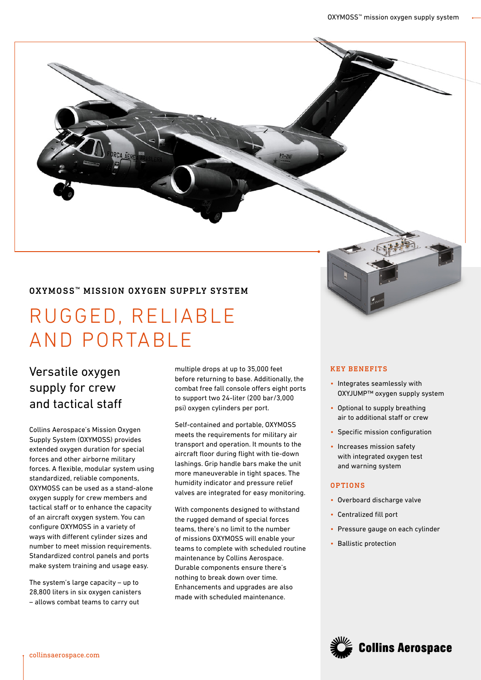### OXYMOSS™ MISSION OXYGEN SUPPLY SYSTEM

# RUGGED, RELIABLE AND PORTABLE

## Versatile oxygen supply for crew and tactical staff

Collins Aerospace's Mission Oxygen Supply System (OXYMOSS) provides extended oxygen duration for special forces and other airborne military forces. A flexible, modular system using standardized, reliable components, OXYMOSS can be used as a stand-alone oxygen supply for crew members and tactical staff or to enhance the capacity of an aircraft oxygen system. You can configure OXYMOSS in a variety of ways with different cylinder sizes and number to meet mission requirements. Standardized control panels and ports make system training and usage easy.

The system's large capacity – up to 28,800 liters in six oxygen canisters – allows combat teams to carry out

multiple drops at up to 35,000 feet before returning to base. Additionally, the combat free fall console offers eight ports to support two 24-liter (200 bar/3,000 psi) oxygen cylinders per port.

Self-contained and portable, OXYMOSS meets the requirements for military air transport and operation. It mounts to the aircraft floor during flight with tie-down lashings. Grip handle bars make the unit more maneuverable in tight spaces. The humidity indicator and pressure relief valves are integrated for easy monitoring.

With components designed to withstand the rugged demand of special forces teams, there's no limit to the number of missions OXYMOSS will enable your teams to complete with scheduled routine maintenance by Collins Aerospace. Durable components ensure there's nothing to break down over time. Enhancements and upgrades are also made with scheduled maintenance.

#### KEY BENEFITS

- Integrates seamlessly with OXYJUMP™ oxygen supply system
- Optional to supply breathing air to additional staff or crew
- Specific mission configuration
- Increases mission safety with integrated oxygen test and warning system

#### OPTIONS

- Overboard discharge valve
- Centralized fill port
- Pressure gauge on each cylinder
- Ballistic protection